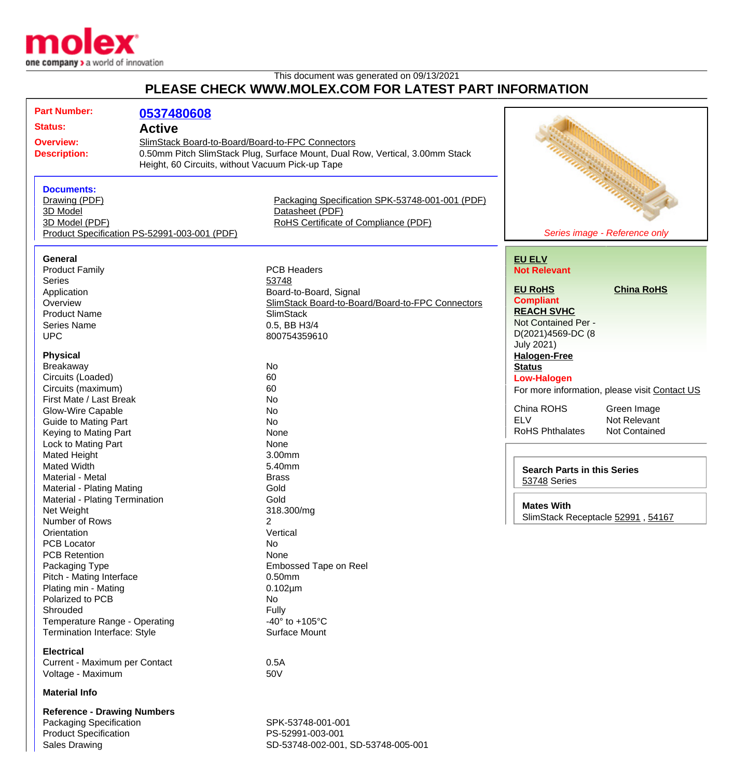

## This document was generated on 09/13/2021 **PLEASE CHECK WWW.MOLEX.COM FOR LATEST PART INFORMATION**

| <b>Part Number:</b>                          | 0537480608                                       |                                                                              |                                    |                                               |
|----------------------------------------------|--------------------------------------------------|------------------------------------------------------------------------------|------------------------------------|-----------------------------------------------|
|                                              |                                                  |                                                                              |                                    |                                               |
| <b>Status:</b><br><b>Active</b>              |                                                  |                                                                              |                                    |                                               |
| <b>Overview:</b>                             | SlimStack Board-to-Board/Board-to-FPC Connectors |                                                                              |                                    |                                               |
| <b>Description:</b>                          |                                                  | 0.50mm Pitch SlimStack Plug, Surface Mount, Dual Row, Vertical, 3.00mm Stack |                                    |                                               |
|                                              | Height, 60 Circuits, without Vacuum Pick-up Tape |                                                                              |                                    |                                               |
|                                              |                                                  |                                                                              |                                    |                                               |
| <b>Documents:</b>                            |                                                  |                                                                              |                                    |                                               |
| Drawing (PDF)                                |                                                  | Packaging Specification SPK-53748-001-001 (PDF)                              |                                    |                                               |
| 3D Model                                     |                                                  | Datasheet (PDF)                                                              |                                    |                                               |
| 3D Model (PDF)                               |                                                  | RoHS Certificate of Compliance (PDF)                                         |                                    |                                               |
| Product Specification PS-52991-003-001 (PDF) |                                                  | Series image - Reference only                                                |                                    |                                               |
|                                              |                                                  |                                                                              |                                    |                                               |
| <b>General</b>                               |                                                  |                                                                              | <b>EU ELV</b>                      |                                               |
| <b>Product Family</b>                        |                                                  | <b>PCB Headers</b>                                                           | <b>Not Relevant</b>                |                                               |
| <b>Series</b>                                |                                                  | 53748                                                                        | <b>EU RoHS</b>                     |                                               |
| Application                                  |                                                  | Board-to-Board, Signal                                                       |                                    | <b>China RoHS</b>                             |
| Overview                                     |                                                  | SlimStack Board-to-Board/Board-to-FPC Connectors                             | <b>Compliant</b>                   |                                               |
| <b>Product Name</b>                          |                                                  | <b>SlimStack</b>                                                             | <b>REACH SVHC</b>                  |                                               |
| <b>Series Name</b>                           |                                                  | 0.5, BB H3/4                                                                 | Not Contained Per -                |                                               |
| <b>UPC</b>                                   |                                                  | 800754359610                                                                 | D(2021)4569-DC (8                  |                                               |
|                                              |                                                  |                                                                              | <b>July 2021)</b>                  |                                               |
| <b>Physical</b>                              |                                                  |                                                                              | <b>Halogen-Free</b>                |                                               |
| Breakaway                                    |                                                  | No                                                                           | <b>Status</b>                      |                                               |
| Circuits (Loaded)                            |                                                  | 60                                                                           | <b>Low-Halogen</b>                 |                                               |
| Circuits (maximum)                           |                                                  | 60                                                                           |                                    | For more information, please visit Contact US |
| First Mate / Last Break                      |                                                  | No                                                                           |                                    |                                               |
| Glow-Wire Capable                            |                                                  | No                                                                           | China ROHS                         | Green Image                                   |
| Guide to Mating Part                         |                                                  | <b>No</b>                                                                    | <b>ELV</b>                         | Not Relevant                                  |
| Keying to Mating Part                        |                                                  | None                                                                         | <b>RoHS Phthalates</b>             | Not Contained                                 |
| Lock to Mating Part                          |                                                  | None                                                                         |                                    |                                               |
| Mated Height                                 |                                                  | 3.00mm                                                                       |                                    |                                               |
| <b>Mated Width</b>                           |                                                  | 5.40mm                                                                       |                                    |                                               |
| Material - Metal                             |                                                  | <b>Brass</b>                                                                 | <b>Search Parts in this Series</b> |                                               |
| Material - Plating Mating                    |                                                  | Gold                                                                         | 53748 Series                       |                                               |
|                                              |                                                  | Gold                                                                         |                                    |                                               |
| Material - Plating Termination<br>Net Weight |                                                  |                                                                              | <b>Mates With</b>                  |                                               |
|                                              |                                                  | 318.300/mg                                                                   |                                    | SlimStack Receptacle 52991, 54167             |
| Number of Rows                               |                                                  | $\overline{2}$                                                               |                                    |                                               |
| Orientation                                  |                                                  | Vertical                                                                     |                                    |                                               |
| <b>PCB Locator</b>                           |                                                  | No                                                                           |                                    |                                               |
| <b>PCB Retention</b>                         |                                                  | None                                                                         |                                    |                                               |
| Packaging Type                               |                                                  | Embossed Tape on Reel                                                        |                                    |                                               |
| Pitch - Mating Interface                     |                                                  | $0.50$ mm                                                                    |                                    |                                               |
| Plating min - Mating                         |                                                  | $0.102 \mu m$                                                                |                                    |                                               |
| Polarized to PCB                             |                                                  | No                                                                           |                                    |                                               |
| Shrouded                                     |                                                  | Fully                                                                        |                                    |                                               |
| Temperature Range - Operating                |                                                  | -40 $\degree$ to +105 $\degree$ C                                            |                                    |                                               |
| Termination Interface: Style                 |                                                  | Surface Mount                                                                |                                    |                                               |
| <b>Electrical</b>                            |                                                  |                                                                              |                                    |                                               |
| Current - Maximum per Contact                |                                                  | 0.5A                                                                         |                                    |                                               |
| Voltage - Maximum                            |                                                  | 50V                                                                          |                                    |                                               |
|                                              |                                                  |                                                                              |                                    |                                               |
| <b>Material Info</b>                         |                                                  |                                                                              |                                    |                                               |
| <b>Reference - Drawing Numbers</b>           |                                                  |                                                                              |                                    |                                               |

Packaging Specification Network SPK-53748-001-001 Product Specification **PS-52991-003-001** 

Sales Drawing Sales Drawing SD-53748-002-001, SD-53748-005-001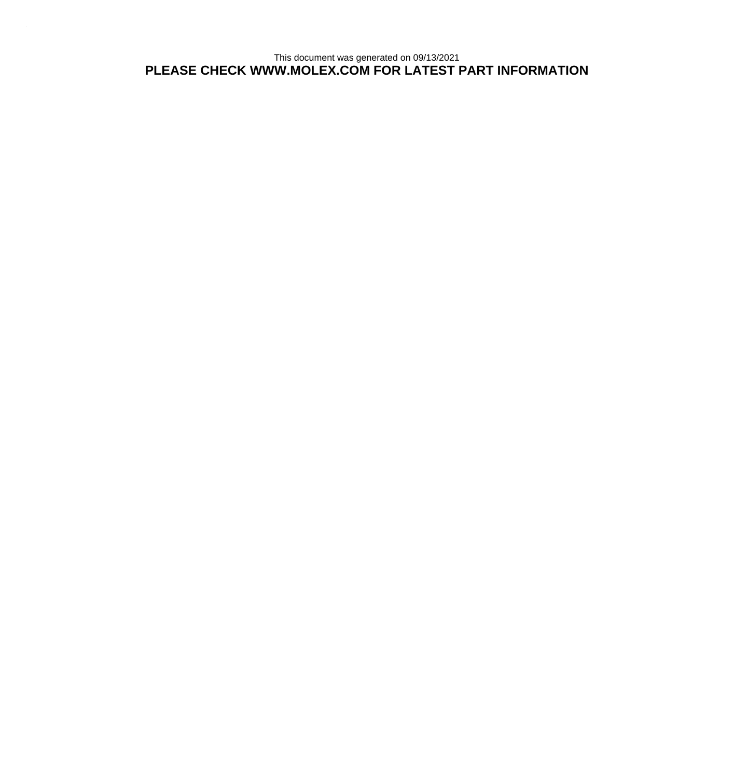This document was generated on 09/13/2021 **PLEASE CHECK WWW.MOLEX.COM FOR LATEST PART INFORMATION**